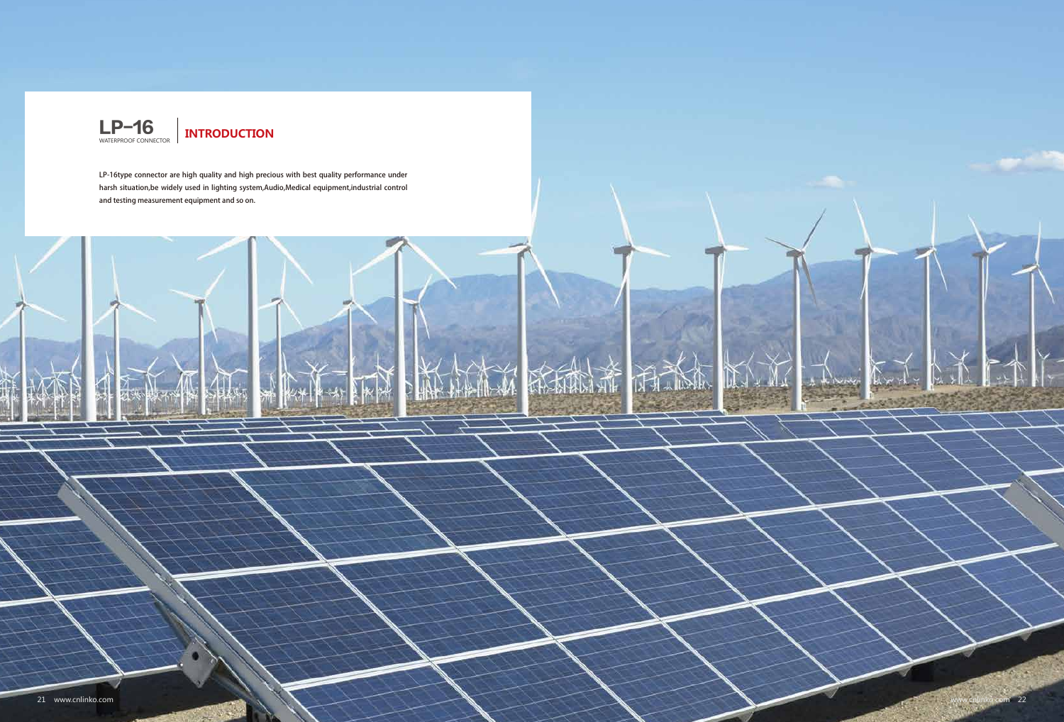





LP-16type connector are high quality and high precious with best quality performance under harsh situation,be widely used in lighting system,Audio,Medical equipment,industrial control and testing measurement equipment and so on.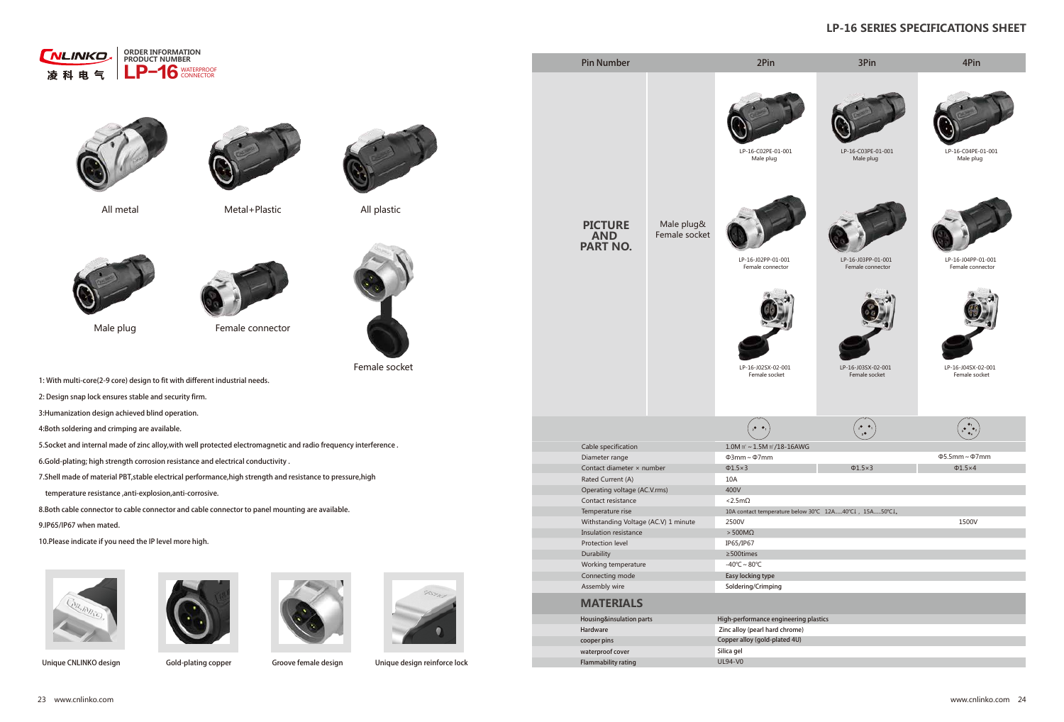

Male plug



Female connector



Female socket









- 1: With multi-core(2-9 core) design to fit with different industrial needs.
- 2: Design snap lock ensures stable and security firm.
- 3:Humanization design achieved blind operation.
- 4:Both soldering and crimping are available.
- 5.Socket and internal made of zinc alloy,with well protected electromagnetic and radio frequency interference .
- 6.Gold-plating; high strength corrosion resistance and electrical conductivity .
- 7.Shell made of material PBT,stable electrical performance,high strength and resistance to pressure,high
- temperature resistance ,anti-explosion,anti-corrosive.
- 8.Both cable connector to cable connector and cable connector to panel mounting are available.
- 9.IP65/IP67 when mated.
- 10.Please indicate if you need the IP level more high.







Unique CNLINKO design Gold-plating copper Groove female design Unique design reinforce lock

All metal All plastic Metal+Plastic

LP-16-C03PE-01-001 LP-16-C04PE-01-001 Male plug Male plug LP-16-J03PP-01-001 LP-16-J04PP-01-001 Female connector Female connector LP-16-J03SX-02-001 LP-16-J04SX-02-001 Female socket Female socket  $\left(\begin{smallmatrix} \bullet & \bullet_1 \\ \bullet & \bullet_2 \\ \bullet & \bullet_4 \end{smallmatrix}\right)$  $\begin{pmatrix} 2 & 0 \\ 2 & 0 \\ 3 & 0 \end{pmatrix}$ Φ5.5mm~Φ7mm Φ1.5×3 Φ1.5×4 10A contact temperature below 30℃ 12A......40℃↓, 15A......50℃↓。 1500V



## **LP-16 SERIES SPECIFICATIONS SHEET**